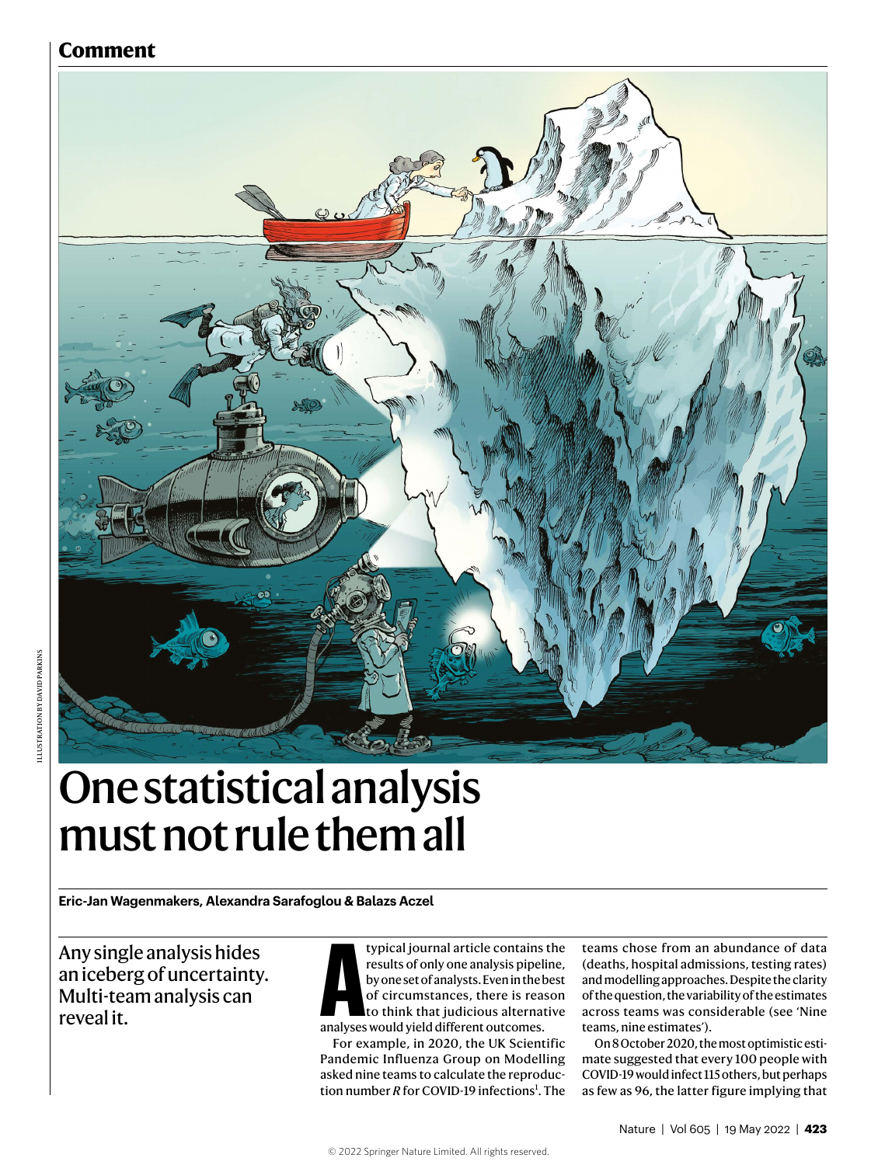# **Comment**



# One statistical analysis must not rule them all

**Eric-Jan Wagenmakers, Alexandra Sarafoglou & Balazs Aczel**

Any single analysis hides an iceberg of uncertainty. Multi-team analysis can reveal it.

typical journal article contains the<br>results of only one analysis pipeline,<br>by one set of analysts. Even in the best<br>of circumstances, there is reason<br>to think that judicious alternative<br>analyses would vield different outc results of only one analysis pipeline, by one set of analysts. Even in the best of circumstances, there is reason to think that judicious alternative analyses would yield different outcomes.

For example, in 2020, the UK Scientific Pandemic Influenza Group on Modelling asked nine teams to calculate the reproduction number *R* for COVID-19 infections<sup>1</sup>. The

teams chose from an abundance of data (deaths, hospital admissions, testing rates) and modelling approaches. Despite the clarity of the question, the variability of the estimates across teams was considerable (see 'Nine teams, nine estimates').

On 8 October 2020, the most optimistic estimate suggested that every 100 people with COVID-19 would infect 115 others, but perhaps as few as 96, the latter figure implying that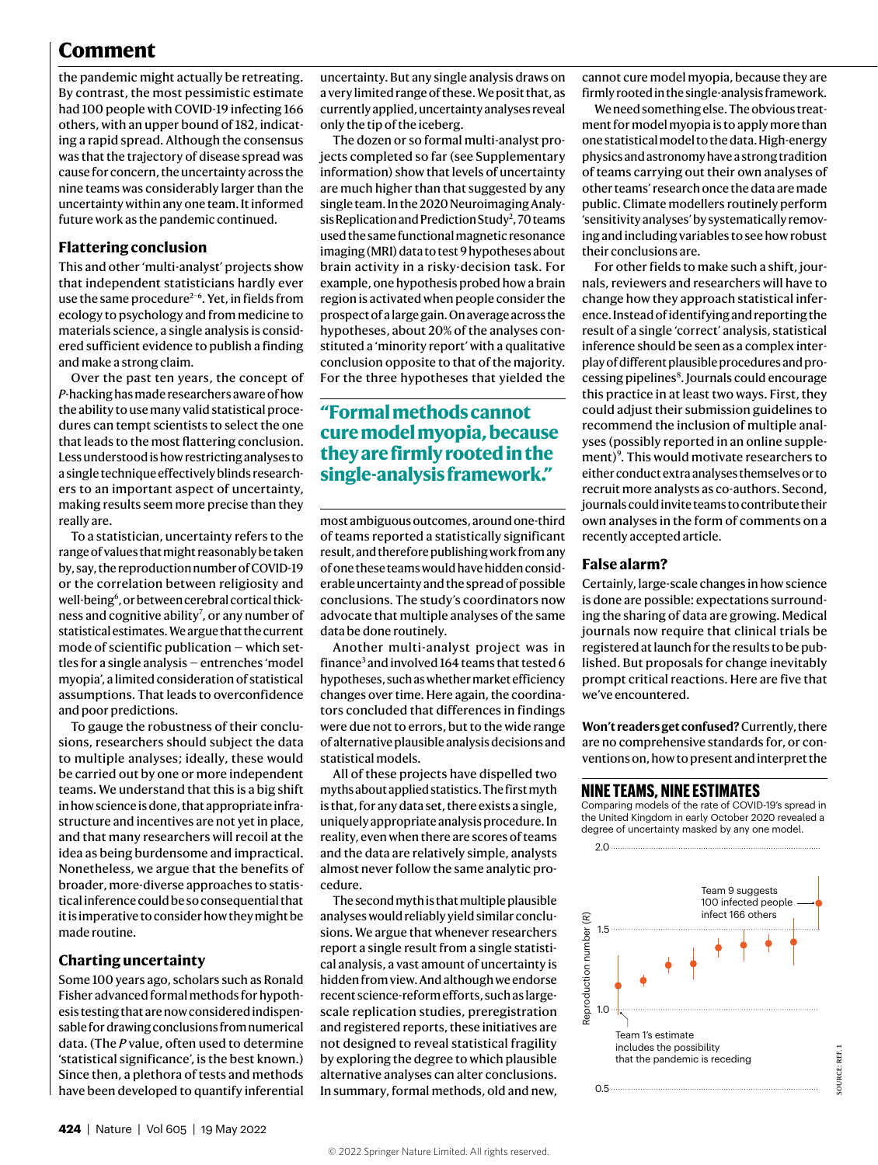# **Comment**

the pandemic might actually be retreating. By contrast, the most pessimistic estimate had 100 people with COVID-19 infecting 166 others, with an upper bound of 182, indicating a rapid spread. Although the consensus was that the trajectory of disease spread was cause for concern, the uncertainty across the nine teams was considerably larger than the uncertainty within any one team. It informed future work as the pandemic continued.

#### **Flattering conclusion**

This and other 'multi-analyst' projects show that independent statisticians hardly ever use the same procedure<sup>2-6</sup>. Yet, in fields from ecology to psychology and from medicine to materials science, a single analysis is considered sufficient evidence to publish a finding and make a strong claim.

Over the past ten years, the concept of *P*-hacking has made researchers aware of how the ability to use many valid statistical procedures can tempt scientists to select the one that leads to the most flattering conclusion. Less understood is how restricting analyses to a single technique effectively blinds researchers to an important aspect of uncertainty, making results seem more precise than they really are.

To a statistician, uncertainty refers to the range of values that might reasonably be taken by, say, the reproduction number of COVID-19 or the correlation between religiosity and well-being<sup>6</sup>, or between cerebral cortical thickness and cognitive ability<sup>7</sup>, or any number of statistical estimates. We argue that the current mode of scientific publication — which settles for a single analysis — entrenches 'model myopia', a limited consideration of statistical assumptions. That leads to overconfidence and poor predictions.

To gauge the robustness of their conclusions, researchers should subject the data to multiple analyses; ideally, these would be carried out by one or more independent teams. We understand that this is a big shift in how science is done, that appropriate infrastructure and incentives are not yet in place, and that many researchers will recoil at the idea as being burdensome and impractical. Nonetheless, we argue that the benefits of broader, more-diverse approaches to statistical inference could be so consequential that it is imperative to consider how they might be made routine.

### **Charting uncertainty**

Some 100 years ago, scholars such as Ronald Fisher advanced formal methods for hypothesis testing that are now considered indispensable for drawing conclusions from numerical data. (The *P* value, often used to determine 'statistical significance', is the best known.) Since then, a plethora of tests and methods have been developed to quantify inferential

uncertainty. But any single analysis draws on a very limited range of these. We posit that, as currently applied, uncertainty analyses reveal only the tip of the iceberg.

The dozen or so formal multi-analyst projects completed so far (see Supplementary information) show that levels of uncertainty are much higher than that suggested by any single team. In the 2020 Neuroimaging Analysis Replication and Prediction Study<sup>2</sup>, 70 teams used the same functional magnetic resonance imaging (MRI) data to test 9 hypotheses about brain activity in a risky-decision task. For example, one hypothesis probed how a brain region is activated when people consider the prospect of a large gain. On average across the hypotheses, about 20% of the analyses constituted a 'minority report' with a qualitative conclusion opposite to that of the majority. For the three hypotheses that yielded the

# **"Formal methods cannot cure model myopia, because they are firmly rooted in the single-analysis framework."**

most ambiguous outcomes, around one-third of teams reported a statistically significant result, and therefore publishing work from any of one these teams would have hidden considerable uncertainty and the spread of possible conclusions. The study's coordinators now advocate that multiple analyses of the same data be done routinely.

Another multi-analyst project was in finance<sup>3</sup> and involved 164 teams that tested 6 hypotheses, such as whether market efficiency changes over time. Here again, the coordinators concluded that differences in findings were due not to errors, but to the wide range of alternative plausible analysis decisions and statistical models.

All of these projects have dispelled two myths about applied statistics. The first myth is that, for any data set, there exists a single, uniquely appropriate analysis procedure. In reality, even when there are scores of teams and the data are relatively simple, analysts almost never follow the same analytic procedure.

The second myth is that multiple plausible analyses would reliably yield similar conclusions. We argue that whenever researchers report a single result from a single statistical analysis, a vast amount of uncertainty is hidden from view. And although we endorse recent science-reform efforts, such as largescale replication studies, preregistration and registered reports, these initiatives are not designed to reveal statistical fragility by exploring the degree to which plausible alternative analyses can alter conclusions. In summary, formal methods, old and new, cannot cure model myopia, because they are firmly rooted in the single-analysis framework.

We need something else. The obvious treatment for model myopia is to apply more than one statistical model to the data. High-energy physics and astronomy have a strong tradition of teams carrying out their own analyses of other teams' research once the data are made public. Climate modellers routinely perform 'sensitivity analyses' by systematically removing and including variables to see how robust their conclusions are.

For other fields to make such a shift, journals, reviewers and researchers will have to change how they approach statistical inference. Instead of identifying and reporting the result of a single 'correct' analysis, statistical inference should be seen as a complex interplay of different plausible procedures and processing pipelines<sup>8</sup>. Journals could encourage this practice in at least two ways. First, they could adjust their submission guidelines to recommend the inclusion of multiple analyses (possibly reported in an online supplement)<sup>9</sup>. This would motivate researchers to either conduct extra analyses themselves or to recruit more analysts as co-authors. Second, journals could invite teams to contribute their own analyses in the form of comments on a recently accepted article.

#### **False alarm?**

Certainly, large-scale changes in how science is done are possible: expectations surrounding the sharing of data are growing. Medical journals now require that clinical trials be registered at launch for the results to be published. But proposals for change inevitably prompt critical reactions. Here are five that we've encountered.

**Won't readers get confused?** Currently, there are no comprehensive standards for, or conventions on, how to present and interpret the

Comparing models of the rate of COVID-19's spread in the United Kingdom in early October 2020 revealed a degree of uncertainty masked by any one model.

2.0